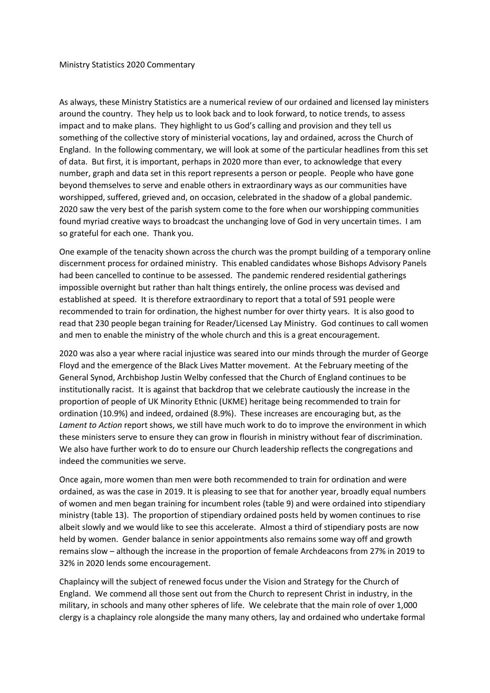As always, these Ministry Statistics are a numerical review of our ordained and licensed lay ministers around the country. They help us to look back and to look forward, to notice trends, to assess impact and to make plans. They highlight to us God's calling and provision and they tell us something of the collective story of ministerial vocations, lay and ordained, across the Church of England. In the following commentary, we will look at some of the particular headlines from this set of data. But first, it is important, perhaps in 2020 more than ever, to acknowledge that every number, graph and data set in this report represents a person or people. People who have gone beyond themselves to serve and enable others in extraordinary ways as our communities have worshipped, suffered, grieved and, on occasion, celebrated in the shadow of a global pandemic. 2020 saw the very best of the parish system come to the fore when our worshipping communities found myriad creative ways to broadcast the unchanging love of God in very uncertain times. I am so grateful for each one. Thank you.

One example of the tenacity shown across the church was the prompt building of a temporary online discernment process for ordained ministry. This enabled candidates whose Bishops Advisory Panels had been cancelled to continue to be assessed. The pandemic rendered residential gatherings impossible overnight but rather than halt things entirely, the online process was devised and established at speed. It is therefore extraordinary to report that a total of 591 people were recommended to train for ordination, the highest number for over thirty years. It is also good to read that 230 people began training for Reader/Licensed Lay Ministry. God continues to call women and men to enable the ministry of the whole church and this is a great encouragement.

2020 was also a year where racial injustice was seared into our minds through the murder of George Floyd and the emergence of the Black Lives Matter movement. At the February meeting of the General Synod, Archbishop Justin Welby confessed that the Church of England continues to be institutionally racist. It is against that backdrop that we celebrate cautiously the increase in the proportion of people of UK Minority Ethnic (UKME) heritage being recommended to train for ordination (10.9%) and indeed, ordained (8.9%). These increases are encouraging but, as the *Lament to Action* report shows, we still have much work to do to improve the environment in which these ministers serve to ensure they can grow in flourish in ministry without fear of discrimination. We also have further work to do to ensure our Church leadership reflects the congregations and indeed the communities we serve.

Once again, more women than men were both recommended to train for ordination and were ordained, as was the case in 2019. It is pleasing to see that for another year, broadly equal numbers of women and men began training for incumbent roles (table 9) and were ordained into stipendiary ministry (table 13). The proportion of stipendiary ordained posts held by women continues to rise albeit slowly and we would like to see this accelerate. Almost a third of stipendiary posts are now held by women. Gender balance in senior appointments also remains some way off and growth remains slow – although the increase in the proportion of female Archdeacons from 27% in 2019 to 32% in 2020 lends some encouragement.

Chaplaincy will the subject of renewed focus under the Vision and Strategy for the Church of England. We commend all those sent out from the Church to represent Christ in industry, in the military, in schools and many other spheres of life. We celebrate that the main role of over 1,000 clergy is a chaplaincy role alongside the many many others, lay and ordained who undertake formal